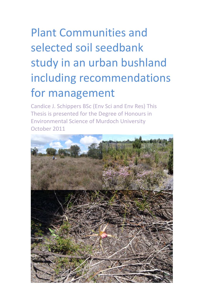# Plant Communities and selected soil seedbank study in an urban bushland including recommendations for management

Candice J. Schippers BSc (Env Sci and Env Res) This Thesis is presented for the Degree of Honours in Environmental Science of Murdoch University October 2011

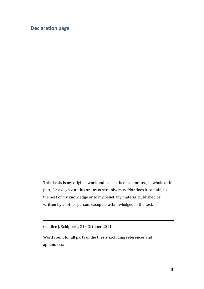## <span id="page-1-0"></span>**Declaration page**

This thesis is my original work and has not been submitted, in whole or in part, for a degree at this or any other university. Nor does it contain, to the best of my knowledge or to my belief any material published or written by another person, except as acknowledged in the text.

Candice J. Schippers, 31st October 2011

Word count for all parts of the thesis excluding references and appendices: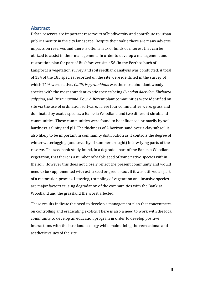#### <span id="page-2-0"></span>**Abstract**

Urban reserves are important reservoirs of biodiversity and contribute to urban public amenity in the city landscape. Despite their value there are many adverse impacts on reserves and there is often a lack of funds or interest that can be utilized to assist in their management. In order to develop a management and restoration plan for part of Bushforever site 456 (in the Perth suburb of Langford) a vegetation survey and soil seedbank analysis was conducted. A total of 134 of the 185 species recorded on the site were identified in the survey of which 71% were native. *Callitris pyramidalis* was the most abundant woody species with the most abundant exotic species being *Cynodon dactylon*, *Ehrharta calycina*, and *Briza maxima*. Four different plant communities were identified on site via the use of ordination software. These four communities were: grassland dominated by exotic species, a Banksia Woodland and two different shrubland communities. These communities were found to be influenced primarily by soil hardness, salinity and pH. The thickness of A horizon sand over a clay subsoil is also likely to be important in community distribution as it controls the degree of winter waterlogging (and severity of summer drought) in low-lying parts of the reserve. The seedbank study found, in a degraded part of the Banksia Woodland vegetation, that there is a number of viable seed of some native species within the soil. However this does not closely reflect the present community and would need to be supplemented with extra seed or green stock if it was utilized as part of a restoration process. Littering, trampling of vegetation and invasive species are major factors causing degradation of the communities with the Bankisa Woodland and the grassland the worst affected.

These results indicate the need to develop a management plan that concentrates on controlling and eradicating exotics. There is also a need to work with the local community to develop an education program in order to develop positive interactions with the bushland ecology while maintaining the recreational and aesthetic values of the site.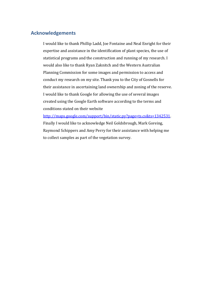### <span id="page-3-0"></span>**Acknowledgements**

I would like to thank Phillip Ladd, Joe Fontaine and Neal Enright for their expertise and assistance in the identification of plant species, the use of statistical programs and the construction and running of my research. I would also like to thank Ryan Zaknitch and the Western Australian Planning Commission for some images and permission to access and conduct my research on my site. Thank you to the City of Gosnells for their assistance in ascertaining land ownership and zoning of the reserve. I would like to thank Google for allowing the use of several images created using the Google Earth software according to the terms and conditions stated on their website

[http://maps.google.com/support/bin/static.py?page=ts.cs&ts=1342531.](http://maps.google.com/support/bin/static.py?page=ts.cs&ts=1342531) Finally I would like to acknowledge Neil Goldsbrough, Mark Goreing, Raymond Schippers and Amy Perry for their assistance with helping me to collect samples as part of the vegetation survey.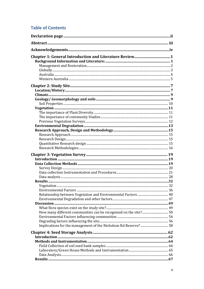## **Table of Contents**